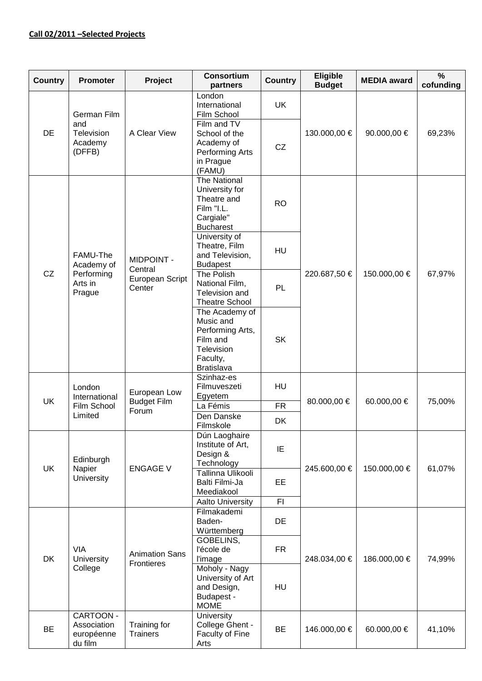## **Call 02/2011 –Selected Projects**

| <b>Country</b> | <b>Promoter</b>                                           | Project                                                   | <b>Consortium</b><br>partners                                                                              | <b>Country</b> | <b>Eligible</b><br><b>Budget</b> | <b>MEDIA</b> award | $\frac{9}{6}$<br>cofunding |
|----------------|-----------------------------------------------------------|-----------------------------------------------------------|------------------------------------------------------------------------------------------------------------|----------------|----------------------------------|--------------------|----------------------------|
| DE             | German Film<br>and<br>Television<br>Academy<br>(DFFB)     | A Clear View                                              | London<br>International<br>Film School                                                                     | <b>UK</b>      | 130.000,00 €                     | 90.000,00 €        | 69,23%                     |
|                |                                                           |                                                           | Film and TV<br>School of the<br>Academy of<br>Performing Arts<br>in Prague<br>(FAMU)                       | CZ             |                                  |                    |                            |
| CZ             | FAMU-The<br>Academy of<br>Performing<br>Arts in<br>Prague | <b>MIDPOINT -</b><br>Central<br>European Script<br>Center | The National<br>University for<br>Theatre and<br>Film "I.L.<br>Cargiale"<br><b>Bucharest</b>               | <b>RO</b>      | 220.687,50 €                     | 150.000,00 €       | 67,97%                     |
|                |                                                           |                                                           | University of<br>Theatre, Film<br>and Television,<br><b>Budapest</b>                                       | HU             |                                  |                    |                            |
|                |                                                           |                                                           | The Polish<br>National Film,<br>Television and<br><b>Theatre School</b>                                    | PL             |                                  |                    |                            |
|                |                                                           |                                                           | The Academy of<br>Music and<br>Performing Arts,<br>Film and<br>Television<br>Faculty,<br><b>Bratislava</b> | <b>SK</b>      |                                  |                    |                            |
| <b>UK</b>      | London<br>International<br>Film School<br>Limited         | European Low<br><b>Budget Film</b><br>Forum               | Szinhaz-es<br>Filmuveszeti<br>Egyetem                                                                      | HU             | 80.000,00 €                      | 60.000,00 €        | 75,00%                     |
|                |                                                           |                                                           | La Fémis<br>Den Danske                                                                                     | <b>FR</b>      |                                  |                    |                            |
|                |                                                           |                                                           | Filmskole                                                                                                  | <b>DK</b>      |                                  |                    |                            |
| <b>UK</b>      | Edinburgh<br>Napier<br>University                         | <b>ENGAGE V</b>                                           | Dún Laoghaire<br>Institute of Art,<br>Design &<br>Technology                                               | IE             | 245.600,00 €                     | 150.000,00 €       | 61,07%                     |
|                |                                                           |                                                           | Tallinna Ulikooli<br>Balti Filmi-Ja<br>Meediakool                                                          | EE             |                                  |                    |                            |
|                |                                                           |                                                           | Aalto University                                                                                           | FI.            |                                  |                    |                            |
| DK             | VIA<br><b>University</b><br>College                       | <b>Animation Sans</b><br>Frontieres                       | Filmakademi<br>Baden-<br>Württemberg                                                                       | DE             | 248.034,00 €                     | 186.000,00 €       | 74,99%                     |
|                |                                                           |                                                           | GOBELINS,<br>l'école de<br><b>l'image</b>                                                                  | <b>FR</b>      |                                  |                    |                            |
|                |                                                           |                                                           | Moholy - Nagy<br>University of Art<br>and Design,<br>Budapest -<br><b>MOME</b>                             | <b>HU</b>      |                                  |                    |                            |
| <b>BE</b>      | CARTOON -<br>Association<br>européenne<br>du film         | Training for<br><b>Trainers</b>                           | University<br>College Ghent -<br>Faculty of Fine<br>Arts                                                   | <b>BE</b>      | 146.000,00 €                     | 60.000,00 €        | 41,10%                     |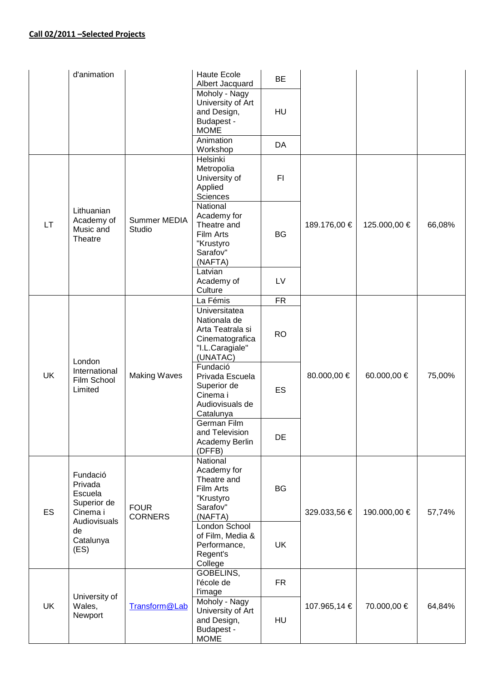## **Call 02/2011 –Selected Projects**

|           | d'animation                                                                                          |                               | <b>Haute Ecole</b><br>Albert Jacquard                                                               | <b>BE</b> |              |              |        |
|-----------|------------------------------------------------------------------------------------------------------|-------------------------------|-----------------------------------------------------------------------------------------------------|-----------|--------------|--------------|--------|
|           |                                                                                                      |                               | Moholy - Nagy<br>University of Art<br>and Design,<br>Budapest -<br><b>MOME</b>                      | HU        |              |              |        |
|           |                                                                                                      |                               | Animation<br>Workshop                                                                               | DA        |              |              |        |
| <b>LT</b> | Lithuanian<br>Academy of<br>Music and<br>Theatre                                                     | Summer MEDIA<br>Studio        | Helsinki<br>Metropolia<br>University of<br>Applied<br>Sciences                                      | FI        | 189.176,00 € | 125.000,00 € | 66,08% |
|           |                                                                                                      |                               | National<br>Academy for<br>Theatre and<br>Film Arts<br>"Krustyro<br>Sarafov"<br>(NAFTA)             | <b>BG</b> |              |              |        |
|           |                                                                                                      |                               | Latvian<br>Academy of<br>Culture                                                                    | LV        |              |              |        |
|           |                                                                                                      |                               | La Fémis                                                                                            | <b>FR</b> |              |              |        |
| <b>UK</b> | London<br>International<br>Film School<br>Limited                                                    | <b>Making Waves</b>           | Universitatea<br>Nationala de<br>Arta Teatrala si<br>Cinematografica<br>"I.L.Caragiale"<br>(UNATAC) | <b>RO</b> | 80.000,00 €  | 60.000,00 €  | 75,00% |
|           |                                                                                                      |                               | Fundació<br>Privada Escuela<br>Superior de<br>Cinema i<br>Audiovisuals de<br>Catalunya              | <b>ES</b> |              |              |        |
|           |                                                                                                      |                               | German Film<br>and Television<br>Academy Berlin<br>(DFFB)                                           | DE        |              |              |        |
| ES        | Fundació<br>Privada<br>Escuela<br>Superior de<br>Cinema i<br>Audiovisuals<br>de<br>Catalunya<br>(ES) | <b>FOUR</b><br><b>CORNERS</b> | National<br>Academy for<br>Theatre and<br>Film Arts<br>"Krustyro<br>Sarafov"<br>(NAFTA)             | <b>BG</b> | 329.033,56 € | 190.000,00 € | 57,74% |
|           |                                                                                                      |                               | London School<br>of Film, Media &<br>Performance,<br>Regent's<br>College                            | UK        |              |              |        |
| <b>UK</b> | University of<br>Wales,<br>Newport                                                                   | Transform@Lab                 | GOBELINS,<br>l'école de<br>l'image                                                                  | <b>FR</b> | 107.965,14 € | 70.000,00 €  | 64,84% |
|           |                                                                                                      |                               | Moholy - Nagy<br>University of Art<br>and Design,<br>Budapest -<br><b>MOME</b>                      | HU        |              |              |        |